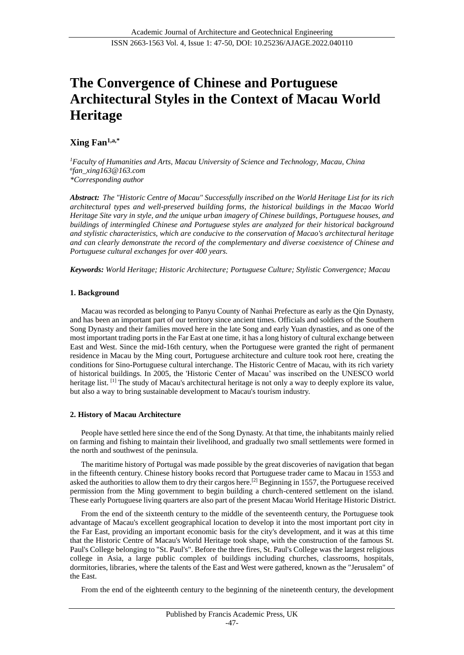# **The Convergence of Chinese and Portuguese Architectural Styles in the Context of Macau World Heritage**

## **Xing Fan1,a,\***

*<sup>1</sup>Faculty of Humanities and Arts, Macau University of Science and Technology, Macau, China a fan\_xing163@163.com \*Corresponding author*

*Abstract: The "Historic Centre of Macau" Successfully inscribed on the World Heritage List for its rich architectural types and well-preserved building forms, the historical buildings in the Macao World Heritage Site vary in style, and the unique urban imagery of Chinese buildings, Portuguese houses, and buildings of intermingled Chinese and Portuguese styles are analyzed for their historical background and stylistic characteristics, which are conducive to the conservation of Macao's architectural heritage and can clearly demonstrate the record of the complementary and diverse coexistence of Chinese and Portuguese cultural exchanges for over 400 years.*

*Keywords: World Heritage; Historic Architecture; Portuguese Culture; Stylistic Convergence; Macau* 

## **1. Background**

Macau was recorded as belonging to Panyu County of Nanhai Prefecture as early as the Qin Dynasty, and has been an important part of our territory since ancient times. Officials and soldiers of the Southern Song Dynasty and their families moved here in the late Song and early Yuan dynasties, and as one of the most important trading ports in the Far East at one time, it has a long history of cultural exchange between East and West. Since the mid-16th century, when the Portuguese were granted the right of permanent residence in Macau by the Ming court, Portuguese architecture and culture took root here, creating the conditions for Sino-Portuguese cultural interchange. The Historic Centre of Macau, with its rich variety of historical buildings. In 2005, the 'Historic Center of Macau' was inscribed on the UNESCO world heritage list. <sup>[1]</sup> The study of Macau's architectural heritage is not only a way to deeply explore its value, but also a way to bring sustainable development to Macau's tourism industry.

## **2. History of Macau Architecture**

People have settled here since the end of the Song Dynasty. At that time, the inhabitants mainly relied on farming and fishing to maintain their livelihood, and gradually two small settlements were formed in the north and southwest of the peninsula.

The maritime history of Portugal was made possible by the great discoveries of navigation that began in the fifteenth century. Chinese history books record that Portuguese trader came to Macau in 1553 and asked the authorities to allow them to dry their cargos here.[2] Beginning in 1557, the Portuguese received permission from the Ming government to begin building a church-centered settlement on the island. These early Portuguese living quarters are also part of the present Macau World Heritage Historic District.

From the end of the sixteenth century to the middle of the seventeenth century, the Portuguese took advantage of Macau's excellent geographical location to develop it into the most important port city in the Far East, providing an important economic basis for the city's development, and it was at this time that the Historic Centre of Macau's World Heritage took shape, with the construction of the famous St. Paul's College belonging to "St. Paul's". Before the three fires, St. Paul's College was the largest religious college in Asia, a large public complex of buildings including churches, classrooms, hospitals, dormitories, libraries, where the talents of the East and West were gathered, known as the "Jerusalem" of the East.

From the end of the eighteenth century to the beginning of the nineteenth century, the development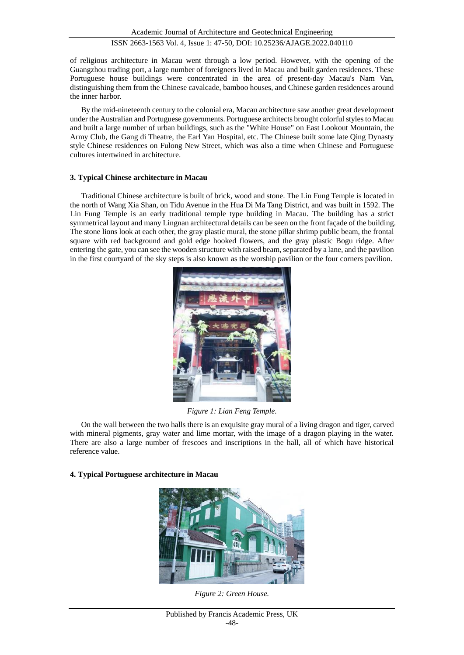## ISSN 2663-1563 Vol. 4, Issue 1: 47-50, DOI: 10.25236/AJAGE.2022.040110

of religious architecture in Macau went through a low period. However, with the opening of the Guangzhou trading port, a large number of foreigners lived in Macau and built garden residences. These Portuguese house buildings were concentrated in the area of present-day Macau's Nam Van, distinguishing them from the Chinese cavalcade, bamboo houses, and Chinese garden residences around the inner harbor.

By the mid-nineteenth century to the colonial era, Macau architecture saw another great development under the Australian and Portuguese governments. Portuguese architects brought colorful styles to Macau and built a large number of urban buildings, such as the "White House" on East Lookout Mountain, the Army Club, the Gang di Theatre, the Earl Yan Hospital, etc. The Chinese built some late Qing Dynasty style Chinese residences on Fulong New Street, which was also a time when Chinese and Portuguese cultures intertwined in architecture.

#### **3. Typical Chinese architecture in Macau**

Traditional Chinese architecture is built of brick, wood and stone. The Lin Fung Temple is located in the north of Wang Xia Shan, on Tidu Avenue in the Hua Di Ma Tang District, and was built in 1592. The Lin Fung Temple is an early traditional temple type building in Macau. The building has a strict symmetrical layout and many Lingnan architectural details can be seen on the front façade of the building. The stone lions look at each other, the gray plastic mural, the stone pillar shrimp public beam, the frontal square with red background and gold edge hooked flowers, and the gray plastic Bogu ridge. After entering the gate, you can see the wooden structure with raised beam, separated by a lane, and the pavilion in the first courtyard of the sky steps is also known as the worship pavilion or the four corners pavilion.



*Figure 1: Lian Feng Temple.*

On the wall between the two halls there is an exquisite gray mural of a living dragon and tiger, carved with mineral pigments, gray water and lime mortar, with the image of a dragon playing in the water. There are also a large number of frescoes and inscriptions in the hall, all of which have historical reference value.

## **4. Typical Portuguese architecture in Macau**



*Figure 2: Green House.*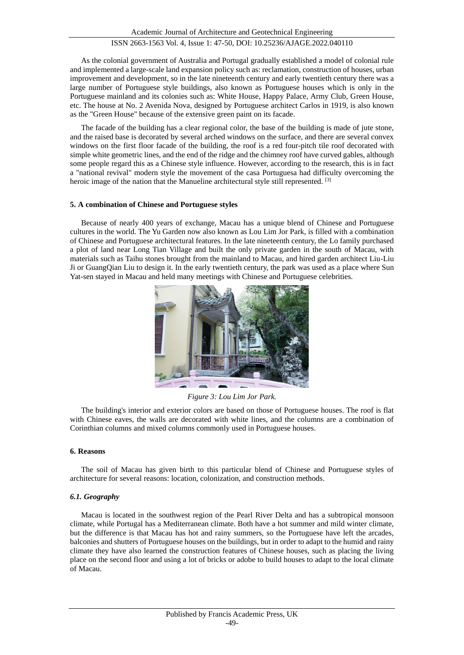## ISSN 2663-1563 Vol. 4, Issue 1: 47-50, DOI: 10.25236/AJAGE.2022.040110

As the colonial government of Australia and Portugal gradually established a model of colonial rule and implemented a large-scale land expansion policy such as: reclamation, construction of houses, urban improvement and development, so in the late nineteenth century and early twentieth century there was a large number of Portuguese style buildings, also known as Portuguese houses which is only in the Portuguese mainland and its colonies such as: White House, Happy Palace, Army Club, Green House, etc. The house at No. 2 Avenida Nova, designed by Portuguese architect Carlos in 1919, is also known as the "Green House" because of the extensive green paint on its facade.

The facade of the building has a clear regional color, the base of the building is made of jute stone, and the raised base is decorated by several arched windows on the surface, and there are several convex windows on the first floor facade of the building, the roof is a red four-pitch tile roof decorated with simple white geometric lines, and the end of the ridge and the chimney roof have curved gables, although some people regard this as a Chinese style influence. However, according to the research, this is in fact a "national revival" modern style the movement of the casa Portuguesa had difficulty overcoming the heroic image of the nation that the Manueline architectural style still represented. [3]

#### **5. A combination of Chinese and Portuguese styles**

Because of nearly 400 years of exchange, Macau has a unique blend of Chinese and Portuguese cultures in the world. The Yu Garden now also known as Lou Lim Jor Park, is filled with a combination of Chinese and Portuguese architectural features. In the late nineteenth century, the Lo family purchased a plot of land near Long Tian Village and built the only private garden in the south of Macau, with materials such as Taihu stones brought from the mainland to Macau, and hired garden architect Liu-Liu Ji or GuangQian Liu to design it. In the early twentieth century, the park was used as a place where Sun Yat-sen stayed in Macau and held many meetings with Chinese and Portuguese celebrities.



*Figure 3: Lou Lim Jor Park.*

The building's interior and exterior colors are based on those of Portuguese houses. The roof is flat with Chinese eaves, the walls are decorated with white lines, and the columns are a combination of Corinthian columns and mixed columns commonly used in Portuguese houses.

#### **6. Reasons**

The soil of Macau has given birth to this particular blend of Chinese and Portuguese styles of architecture for several reasons: location, colonization, and construction methods.

#### *6.1. Geography*

Macau is located in the southwest region of the Pearl River Delta and has a subtropical monsoon climate, while Portugal has a Mediterranean climate. Both have a hot summer and mild winter climate, but the difference is that Macau has hot and rainy summers, so the Portuguese have left the arcades, balconies and shutters of Portuguese houses on the buildings, but in order to adapt to the humid and rainy climate they have also learned the construction features of Chinese houses, such as placing the living place on the second floor and using a lot of bricks or adobe to build houses to adapt to the local climate of Macau.